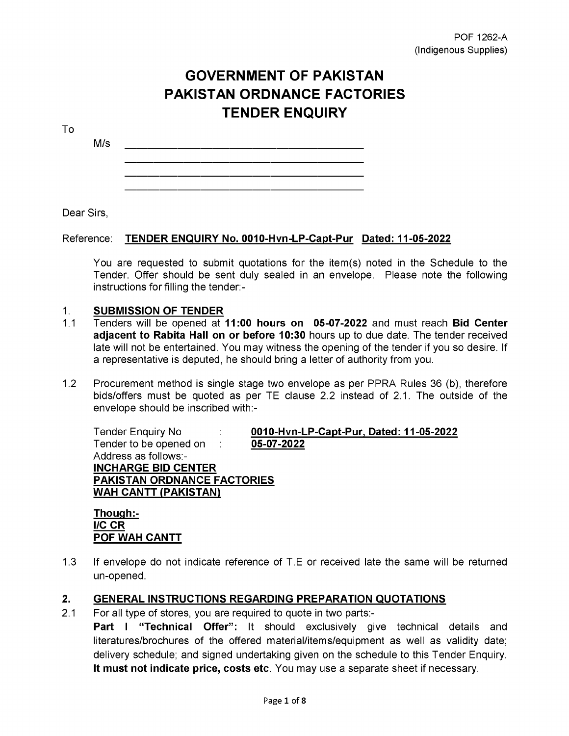# **GOVERNMENT OF PAKISTAN PAKISTAN ORDNANCE FACTORIES TENDER ENQUIRY**

To

M/s

Dear Sirs,

### Reference: TENDER ENQUIRY No. 0010-Hvn-LP-Capt-Pur Dated: 11-05-2022

You are requested to submit quotations for the item(s) noted in the Schedule to the Tender. Offer should be sent duly sealed in an envelope. Please note the following instructions for filling the tender:-

### 1. SUBMISSION OF TENDER

- 1.1 Tenders will be opened at 11:00 hours on 05-07-2022 and must reach Bid Center adjacent to Rabita Hall on or before 10:30 hours up to due date. The tender received late will not be entertained. You may witness the opening of the tender if you so desire. If a representative is deputed, he should bring a letter of authority from you.
- 1.2 Procurement method is single stage two envelope as per PPRA Rules 36 (b), therefore bids/offers must be quoted as per TE clause 2.2 instead of 2.1. The outside of the envelope should be inscribed with:-

Tender to be opened on : 05-07-2022 Address as follows:- INCHARGE BID CENTER PAKISTAN ORDNANCE FACTORIES WAH CANTT (PAKISTAN)

Tender Enquiry No : 0010-Hvn-LP-Capt-Pur, Dated: 11-05-2022

Though:- I/C CR POF WAH CANTT

1.3 If envelope do not indicate reference of T.E or received late the same will be returned un-opened.

## 2. GENERAL INSTRUCTIONS REGARDING PREPARATION QUOTATIONS

2.1 For all type of stores, you are required to quote in two parts:- **Part I "Technical Offer":** It should exclusively give technical details and literatures/brochures of the offered material/items/equipment as well as validity date; delivery schedule; and signed undertaking given on the schedule to this Tender Enquiry. It must not indicate price, costs etc. You may use a separate sheet if necessary.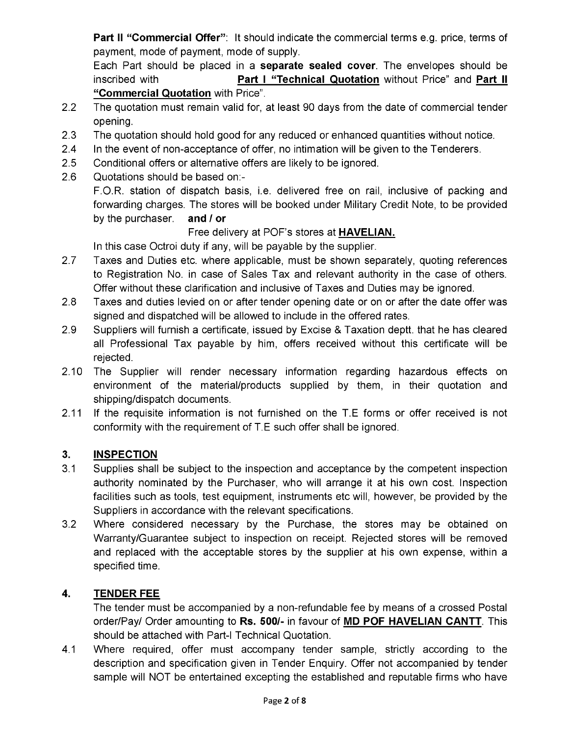**Part II "Commercial Offer"**: It should indicate the commercial terms e.g. price, terms of payment, mode of payment, mode of supply.

Each Part should be placed in a separate sealed cover. The envelopes should be inscribed with **Part I " Technical Quotation** without Price" and **Part II** "Commercial Quotation with Price".

- 2.2 The quotation must remain valid for, at least 90 days from the date of commercial tender opening.
- 2.3 The quotation should hold good for any reduced or enhanced quantities without notice.
- 2.4 In the event of non-acceptance of offer, no intimation will be given to the Tenderers.
- 2.5 Conditional offers or alternative offers are likely to be ignored.
- 2.6 Quotations should be based on:-

F.O.R. station of dispatch basis, i.e. delivered free on rail, inclusive of packing and forwarding charges. The stores will be booked under Military Credit Note, to be provided by the purchaser. and / or

## Free delivery at POF's stores at HAVELIAN.

In this case Octroi duty if any, will be payable by the supplier.

- 2.7 Taxes and Duties etc. where applicable, must be shown separately, quoting references to Registration No. in case of Sales Tax and relevant authority in the case of others. Offer without these clarification and inclusive of Taxes and Duties may be ignored.
- 2.8 Taxes and duties levied on or after tender opening date or on or after the date offer was signed and dispatched will be allowed to include in the offered rates.
- 2.9 Suppliers will furnish a certificate, issued by Excise & Taxation deptt. that he has cleared all Professional Tax payable by him, offers received without this certificate will be rejected.
- 2.10 The Supplier will render necessary information regarding hazardous effects on environment of the material/products supplied by them, in their quotation and shipping/dispatch documents.
- 2.11 If the requisite information is not furnished on the T.E forms or offer received is not conformity with the requirement of T.E such offer shall be ignored.

## 3. INSPECTION

- 3.1 Supplies shall be subject to the inspection and acceptance by the competent inspection authority nominated by the Purchaser, who will arrange it at his own cost. Inspection facilities such as tools, test equipment, instruments etc will, however, be provided by the Suppliers in accordance with the relevant specifications.
- 3.2 Where considered necessary by the Purchase, the stores may be obtained on Warranty/Guarantee subject to inspection on receipt. Rejected stores will be removed and replaced with the acceptable stores by the supplier at his own expense, within a specified time.

## 4. TENDER FEE

The tender must be accompanied by a non-refundable fee by means of a crossed Postal order/Pay/ Order amounting to Rs. 500/- in favour of MD POF HAVELIAN CANTT. This should be attached with Part-I Technical Quotation.

4.1 Where required, offer must accompany tender sample, strictly according to the description and specification given in Tender Enquiry. Offer not accompanied by tender sample will NOT be entertained excepting the established and reputable firms who have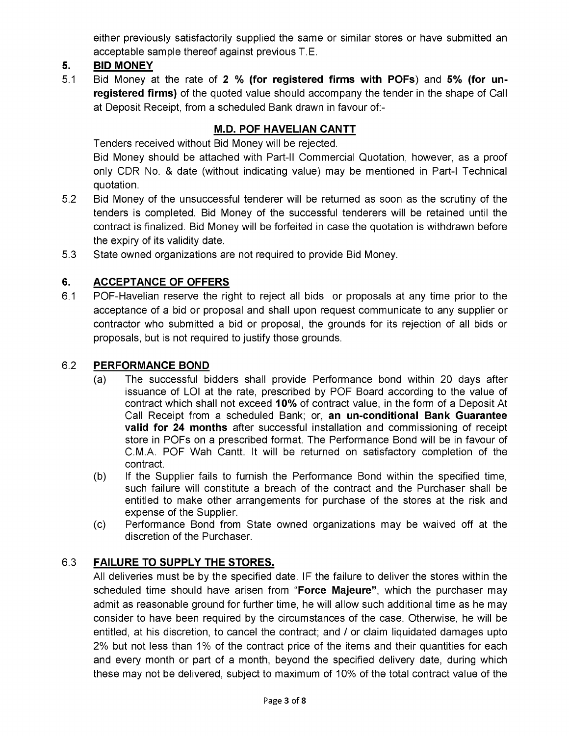either previously satisfactorily supplied the same or similar stores or have submitted an acceptable sample thereof against previous T.E.

## 5. BID MONEY

5.1 Bid Money at the rate of 2 % (for registered firms with POFs) and 5% (for unregistered firms) of the quoted value should accompany the tender in the shape of Call at Deposit Receipt, from a scheduled Bank drawn in favour of:-

## M.D. POF HAVELIAN CANTT

Tenders received without Bid Money will be rejected.

Bid Money should be attached with Part-II Commercial Quotation, however, as a proof only CDR No. & date (without indicating value) may be mentioned in Part-I Technical quotation.

- 5.2 Bid Money of the unsuccessful tenderer will be returned as soon as the scrutiny of the tenders is completed. Bid Money of the successful tenderers will be retained until the contract is finalized. Bid Money will be forfeited in case the quotation is withdrawn before the expiry of its validity date.
- 5.3 State owned organizations are not required to provide Bid Money.

## 6. ACCEPTANCE OF OFFERS

6.1 POF-Havelian reserve the right to reject all bids or proposals at any time prior to the acceptance of a bid or proposal and shall upon request communicate to any supplier or contractor who submitted a bid or proposal, the grounds for its rejection of all bids or proposals, but is not required to justify those grounds.

## 6.2 PERFORMANCE BOND

- (a) The successful bidders shall provide Performance bond within 20 days after issuance of LOI at the rate, prescribed by POF Board according to the value of contract which shall not exceed 10% of contract value, in the form of a Deposit At Call Receipt from a scheduled Bank; or, an un-conditional Bank Guarantee valid for 24 months after successful installation and commissioning of receipt store in POFs on a prescribed format. The Performance Bond will be in favour of C.M.A. POF Wah Cantt. It will be returned on satisfactory completion of the contract.
- (b) If the Supplier fails to furnish the Performance Bond within the specified time, such failure will constitute a breach of the contract and the Purchaser shall be entitled to make other arrangements for purchase of the stores at the risk and expense of the Supplier.
- (c) Performance Bond from State owned organizations may be waived off at the discretion of the Purchaser.

## 6.3 FAILURE TO SUPPLY THE STORES.

All deliveries must be by the specified date. IF the failure to deliver the stores within the scheduled time should have arisen from "Force Majeure", which the purchaser may admit as reasonable ground for further time, he will allow such additional time as he may consider to have been required by the circumstances of the case. Otherwise, he will be entitled, at his discretion, to cancel the contract; and / or claim liquidated damages upto 2% but not less than 1% of the contract price of the items and their quantities for each and every month or part of a month, beyond the specified delivery date, during which these may not be delivered, subject to maximum of 10% of the total contract value of the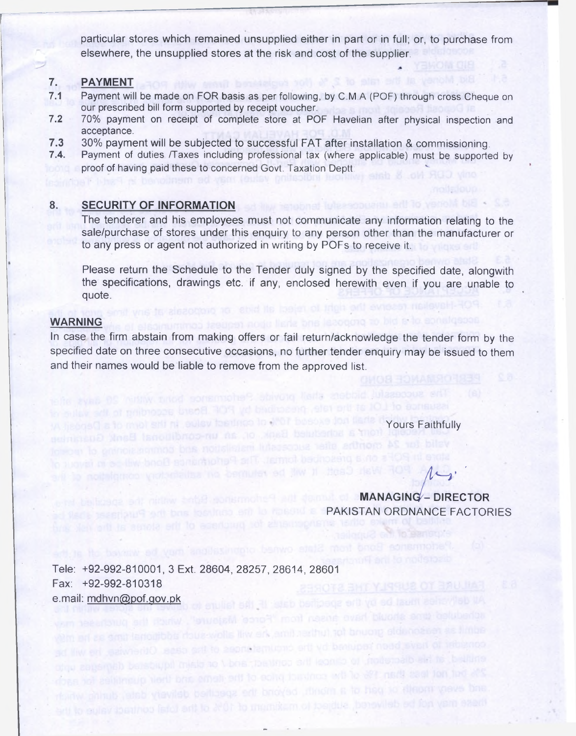particular stores which remained unsupplied either in part or in full; or, to purchase from elsewhere, the unsupplied stores at the risk and cost of the supplier.

## 7. PAYMENT

- 7.1 Payment will be made on FOR basis as per following, by C.M.A (POF) through cross Cheque on our prescribed bill form supported by receipt voucher.
- 7.2 70% payment on receipt of complete store at POF Havelian after physical inspection and acceptance.
- 7.3 30% payment will be subjected to successful FAT after installation & commissioning.<br>7.4. Payment of duties /Taxes including professional tax (where applicable) must be supported
- Payment of duties /Taxes including professional tax (where applicable) must be supported by proof of having paid these to concerned Govt. Taxation Deptt:

### 8. SECURITY OF INFORMATION

The tenderer and his employees must not communicate any information relating to the sale/purchase of stores under this enquiry to any person other than the manufacturer or to any press or agent not authorized in writing by PDFs to receive it.

Please return the Schedule to the Tender duly signed by the specified date, alongwith the specifications, drawings etc. if any, enclosed herewith even if you are unable to quote.

#### **WARNING**

In case the firm abstain from making offers or fail return/acknowledge the tender form by the specified date on three consecutive occasions, no further tender enquiry may be issued to them and their names would be liable to remove from the approved list.

deb shall provide Performance borin within

soge d'a to must siti ni aulev betinco lo 3507 besoxe don la

to nothing to review of the result satisfied with the option of

**Yours Faithfully** 

*11^ ' '*

MANAGINQ^- DIRECTOR PAKISTAN ORDNANCE FACTORIES

ules sine should have arisen from "Force"

is renombbs dous-wolls link and realful, tot bnuorg adanceser as I

i sale through the circuit to contribute the circuit of the case. Otherwise, I en military at his discretion, to cancel the contract, and / or stain inquisible distinguised capages

there may not be delivered, subject to maintain of top many of the top year seed.

Tele: +92-992-810001, 3 Ext. 28604, 28257, 28614, 28601 Fax; +92-992-810318 e.mail; [mdhvn@pof.qov.pk](mailto:mdhvn@pof.qov.pk)allycries must be by the specified date: IF the failure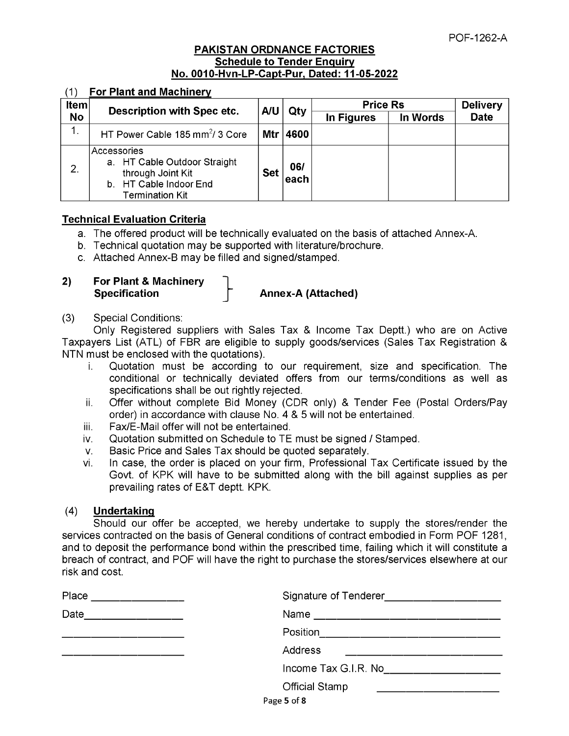#### PAKISTAN ORDNANCE FACTORIES Schedule to Tender Enquiry No. 0010-Hvn-LP-Capt-Pur, Dated: 11-05-2022

#### (1) For Plant and Machinery

| Item           | Description with Spec etc.                                                                                           |            | AU<br>Qty    | <b>Price Rs</b> |          | <b>Delivery</b> |
|----------------|----------------------------------------------------------------------------------------------------------------------|------------|--------------|-----------------|----------|-----------------|
| <b>No</b>      |                                                                                                                      |            |              | In Figures      | In Words | <b>Date</b>     |
|                | HT Power Cable 185 mm <sup>2</sup> / 3 Core                                                                          |            | Mtr   4600   |                 |          |                 |
| $\mathbf{2}$ . | Accessories<br>a. HT Cable Outdoor Straight<br>through Joint Kit<br>b. HT Cable Indoor End<br><b>Termination Kit</b> | <b>Set</b> | 06/<br>'each |                 |          |                 |

#### Technical Evaluation Criteria

- . The offered product will be technically evaluated on the basis of attached Annex-A.
- b. Technical quotation may be supported with literature/brochure.
- c. Attached Annex-B may be filled and signed/stamped.
- 2) For Plant & Machinery Specification **Annex-A** (Attached)

#### (3) Special Conditions:

Only Registered suppliers with Sales Tax & Income Tax Deptt.) who are on Active Taxpayers List (ATL) of FBR are eligible to supply goods/services (Sales Tax Registration & NTN must be enclosed with the quotations).

- i. Quotation must be according to our requirement, size and specification. The conditional or technically deviated offers from our terms/conditions as well as specifications shall be out rightly rejected.
- ii. Offer without complete Bid Money (CDR only) & Tender Fee (Postal Orders/Pay order) in accordance with clause No. 4 & 5 will not be entertained.
- iii. Fax/E-Mail offer will not be entertained.
- iv. Quotation submitted on Schedule to TE must be signed / Stamped.
- v. Basic Price and Sales Tax should be quoted separately.
- vi. In case, the order is placed on your firm, Professional Tax Certificate issued by the Govt. of KPK will have to be submitted along with the bill against supplies as per prevailing rates of E&T deptt. KPK.

#### (4) Undertaking

Should our offer be accepted, we hereby undertake to supply the stores/render the services contracted on the basis of General conditions of contract embodied in Form POF 1281, and to deposit the performance bond within the prescribed time, failing which it will constitute a breach of contract, and POF will have the right to purchase the stores/services elsewhere at our risk and cost.

| Place<br><u> 1980 - John Harry Harry Harry Harry Harry Harry Harry Harry Harry Harry Harry Harry Harry Harry Harry Harry H</u> |                                            |
|--------------------------------------------------------------------------------------------------------------------------------|--------------------------------------------|
| Date<br><u> 1990 - Johann Marie Barn, mars ar breist fan de Fryske kommunent (</u>                                             |                                            |
|                                                                                                                                | Position__________________________________ |
|                                                                                                                                | <b>Address</b>                             |
|                                                                                                                                | Income Tax G.I.R. No_____________________  |
|                                                                                                                                | <b>Official Stamp</b>                      |
|                                                                                                                                | Page 5 of 8                                |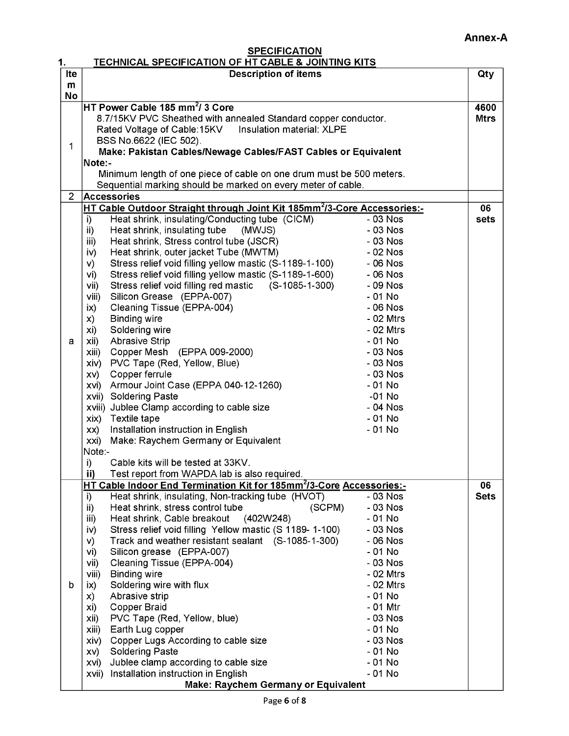#### **SPECIFICATION** TECHNICAL SPECIFICATION OF HT CABLE & JOINTING KITS

| 1.             | <b>TECHNICAL SPECIFICATION OF HT CABLE &amp; JOINTING KITS</b>                       |           |             |  |
|----------------|--------------------------------------------------------------------------------------|-----------|-------------|--|
| Ite            | <b>Description of items</b>                                                          |           | Qty         |  |
| m              |                                                                                      |           |             |  |
| No             |                                                                                      |           |             |  |
|                | <code>HT</code> Power Cable 185 mm $^2$ / 3 Core                                     |           | 4600        |  |
|                | 8.7/15KV PVC Sheathed with annealed Standard copper conductor.<br><b>Mtrs</b>        |           |             |  |
|                | Insulation material: XLPE<br>Rated Voltage of Cable:15KV                             |           |             |  |
|                | BSS No.6622 (IEC 502).                                                               |           |             |  |
| 1              | Make: Pakistan Cables/Newage Cables/FAST Cables or Equivalent                        |           |             |  |
|                | Note:-                                                                               |           |             |  |
|                | Minimum length of one piece of cable on one drum must be 500 meters.                 |           |             |  |
|                | Sequential marking should be marked on every meter of cable.                         |           |             |  |
| $\overline{2}$ | Accessories                                                                          |           |             |  |
|                | HT Cable Outdoor Straight through Joint Kit 185mm <sup>2</sup> /3-Core Accessories:- |           | 06          |  |
|                | Heat shrink, insulating/Conducting tube (CICM)<br>i)                                 | $-03$ Nos | sets        |  |
|                | Heat shrink, insulating tube<br>(MWJS)<br>ii)                                        | $-03$ Nos |             |  |
|                | Heat shrink, Stress control tube (JSCR)<br>iii)                                      | - 03 Nos  |             |  |
|                | Heat shrink, outer jacket Tube (MWTM)<br>iv)                                         | $-02$ Nos |             |  |
|                | Stress relief void filling yellow mastic (S-1189-1-100)<br>V)                        | - 06 Nos  |             |  |
|                | Stress relief void filling yellow mastic (S-1189-1-600)<br>vi)                       | - 06 Nos  |             |  |
|                | Stress relief void filling red mastic (S-1085-1-300)<br>vii)                         | - 09 Nos  |             |  |
|                | Silicon Grease (EPPA-007)<br>viii)                                                   | - 01 No   |             |  |
|                | ix)<br>Cleaning Tissue (EPPA-004)                                                    | $-06$ Nos |             |  |
|                | <b>Binding wire</b><br>X)                                                            | - 02 Mtrs |             |  |
|                | Soldering wire<br>xi)                                                                | - 02 Mtrs |             |  |
| a              | <b>Abrasive Strip</b><br>xii)                                                        | - 01 No   |             |  |
|                | xiii) Copper Mesh (EPPA 009-2000)                                                    | - 03 Nos  |             |  |
|                | xiv) PVC Tape (Red, Yellow, Blue)                                                    | - 03 Nos  |             |  |
|                | Copper ferrule<br>$XV$ )                                                             | $-03$ Nos |             |  |
|                | xvi) Armour Joint Case (EPPA 040-12-1260)                                            | $-01$ No  |             |  |
|                | xvii) Soldering Paste                                                                | $-01$ No  |             |  |
|                | xviii) Jublee Clamp according to cable size                                          | - 04 Nos  |             |  |
|                | xix) Textile tape                                                                    | $-01$ No  |             |  |
|                | xx) Installation instruction in English                                              | $-01$ No  |             |  |
|                | xxi) Make: Raychem Germany or Equivalent                                             |           |             |  |
|                | Note:-                                                                               |           |             |  |
|                | i)<br>Cable kits will be tested at 33KV.                                             |           |             |  |
|                | ii)<br>Test report from WAPDA lab is also required.                                  |           |             |  |
|                | HT Cable Indoor End Termination Kit for 185mm <sup>2</sup> /3-Core Accessories:-     |           | 06          |  |
|                | Heat shrink, insulating, Non-tracking tube (HVOT)<br>i)                              | - 03 Nos  | <b>Sets</b> |  |
|                | (SCPM)<br>Heat shrink, stress control tube<br>ii)                                    | - 03 Nos  |             |  |
|                | Heat shrink, Cable breakout<br>(402W248)<br>iii)                                     | - 01 No   |             |  |
|                | Stress relief void filling Yellow mastic (S 1189-1-100)<br>iv)                       | - 03 Nos  |             |  |
|                | Track and weather resistant sealant (S-1085-1-300)<br>V)                             | - 06 Nos  |             |  |
|                | vi)<br>Silicon grease (EPPA-007)                                                     | $-01$ No  |             |  |
|                | Cleaning Tissue (EPPA-004)<br>vii)                                                   | $-03$ Nos |             |  |
|                | viii)<br><b>Binding wire</b>                                                         | - 02 Mtrs |             |  |
| b              | Soldering wire with flux<br>ix)                                                      | - 02 Mtrs |             |  |
|                | Abrasive strip<br>X)                                                                 | $-01$ No  |             |  |
|                | Copper Braid<br>xi)                                                                  | - 01 Mtr  |             |  |
|                | PVC Tape (Red, Yellow, blue)<br>xii)                                                 | $-03$ Nos |             |  |
|                | Earth Lug copper<br>xiii)                                                            | $-01$ No  |             |  |
|                | Copper Lugs According to cable size<br>xiv)                                          | $-03$ Nos |             |  |
|                | <b>Soldering Paste</b><br>XV)                                                        | - 01 No   |             |  |
|                | Jublee clamp according to cable size<br>XVI)                                         | $-01$ No  |             |  |
|                | Installation instruction in English<br>xvii)                                         | $-01$ No  |             |  |
|                | <b>Make: Raychem Germany or Equivalent</b>                                           |           |             |  |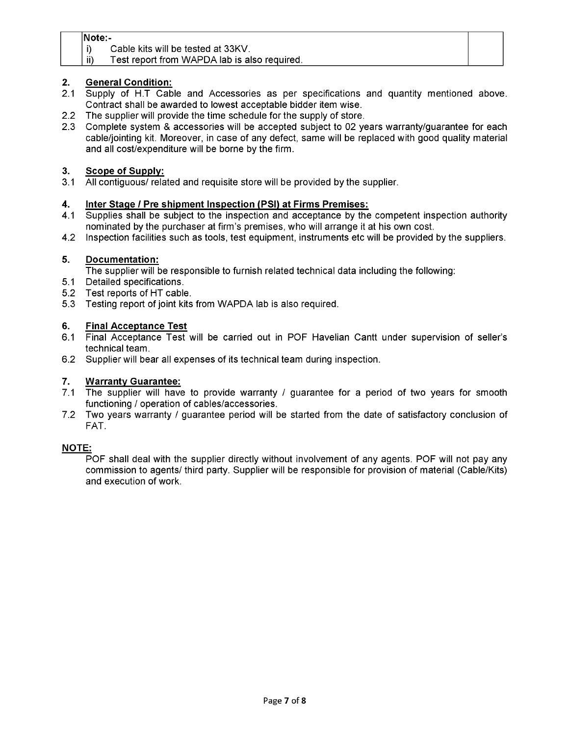#### Note:-

i) Cable kits will be tested at 33KV.

#### ii) Test report from WAPDA lab is also required.

#### 2. General Condition:

- 2.1 Supply of H.T Cable and Accessories as per specifications and quantity mentioned above. Contract shall be awarded to lowest acceptable bidder item wise.
- 2.2 The supplier will provide the time schedule for the supply of store.
- 2.3 Complete system & accessories will be accepted subject to 02 years warranty/guarantee for each cable/jointing kit. Moreover, in case of any defect, same will be replaced with good quality material and all cost/expenditure will be borne by the firm.

#### 3. Scope of Supply:

3.1 All contiguous/ related and requisite store will be provided by the supplier.

#### 4. Inter Stage / Pre shipment Inspection (PSI) at Firms Premises:

- 4.1 Supplies shall be subject to the inspection and acceptance by the competent inspection authority nominated by the purchaser at firm's premises, who will arrange it at his own cost.
- 4.2 Inspection facilities such as tools, test equipment, instruments etc will be provided by the suppliers.

#### 5. Documentation:

The supplier will be responsible to furnish related technical data including the following:

- 5.1 Detailed specifications.
- 5.2 Test reports of HT cable.
- 5.3 Testing report of joint kits from WAPDA lab is also required.

#### 6. Final Acceptance Test

- 6.1 Final Acceptance Test will be carried out in POF Havelian Cantt under supervision of seller's technical team.
- 6.2 Supplier will bear all expenses of its technical team during inspection.

#### 7. Warranty Guarantee:

- 7.1 The supplier will have to provide warranty / guarantee for a period of two years for smooth functioning / operation of cables/accessories.
- 7.2 Two years warranty / guarantee period will be started from the date of satisfactory conclusion of FAT.

#### NOTE:

POF shall deal with the supplier directly without involvement of any agents. POF will not pay any commission to agents/ third party. Supplier will be responsible for provision of material (Cable/Kits) and execution of work.